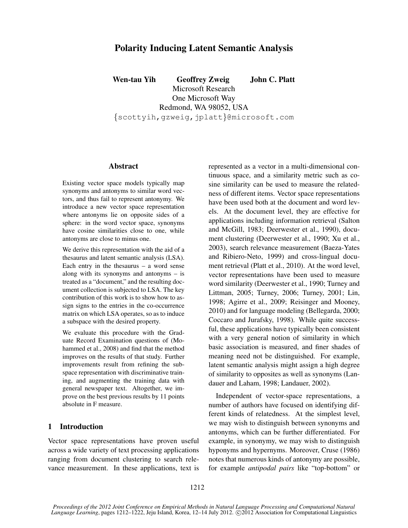# Polarity Inducing Latent Semantic Analysis

Wen-tau Yih Geoffrey Zweig John C. Platt Microsoft Research One Microsoft Way Redmond, WA 98052, USA {scottyih,gzweig,jplatt}@microsoft.com

#### Abstract

Existing vector space models typically map synonyms and antonyms to similar word vectors, and thus fail to represent antonymy. We introduce a new vector space representation where antonyms lie on opposite sides of a sphere: in the word vector space, synonyms have cosine similarities close to one, while antonyms are close to minus one.

We derive this representation with the aid of a thesaurus and latent semantic analysis (LSA). Each entry in the thesaurus – a word sense along with its synonyms and antonyms – is treated as a "document," and the resulting document collection is subjected to LSA. The key contribution of this work is to show how to assign signs to the entries in the co-occurrence matrix on which LSA operates, so as to induce a subspace with the desired property.

We evaluate this procedure with the Graduate Record Examination questions of (Mohammed et al., 2008) and find that the method improves on the results of that study. Further improvements result from refining the subspace representation with discriminative training, and augmenting the training data with general newspaper text. Altogether, we improve on the best previous results by 11 points absolute in F measure.

# 1 Introduction

Vector space representations have proven useful across a wide variety of text processing applications ranging from document clustering to search relevance measurement. In these applications, text is represented as a vector in a multi-dimensional continuous space, and a similarity metric such as cosine similarity can be used to measure the relatedness of different items. Vector space representations have been used both at the document and word levels. At the document level, they are effective for applications including information retrieval (Salton and McGill, 1983; Deerwester et al., 1990), document clustering (Deerwester et al., 1990; Xu et al., 2003), search relevance measurement (Baeza-Yates and Ribiero-Neto, 1999) and cross-lingual document retrieval (Platt et al., 2010). At the word level, vector representations have been used to measure word similarity (Deerwester et al., 1990; Turney and Littman, 2005; Turney, 2006; Turney, 2001; Lin, 1998; Agirre et al., 2009; Reisinger and Mooney, 2010) and for language modeling (Bellegarda, 2000; Coccaro and Jurafsky, 1998). While quite successful, these applications have typically been consistent with a very general notion of similarity in which basic association is measured, and finer shades of meaning need not be distinguished. For example, latent semantic analysis might assign a high degree of similarity to opposites as well as synonyms (Landauer and Laham, 1998; Landauer, 2002).

Independent of vector-space representations, a number of authors have focused on identifying different kinds of relatedness. At the simplest level, we may wish to distinguish between synonyms and antonyms, which can be further differentiated. For example, in synonymy, we may wish to distinguish hyponyms and hypernyms. Moreover, Cruse (1986) notes that numerous kinds of antonymy are possible, for example *antipodal pairs* like "top-bottom" or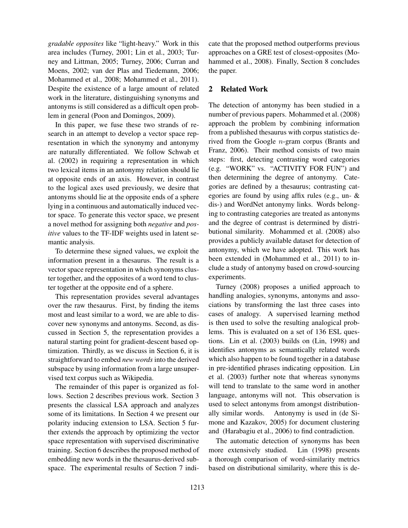*gradable opposites* like "light-heavy." Work in this area includes (Turney, 2001; Lin et al., 2003; Turney and Littman, 2005; Turney, 2006; Curran and Moens, 2002; van der Plas and Tiedemann, 2006; Mohammed et al., 2008; Mohammed et al., 2011). Despite the existence of a large amount of related work in the literature, distinguishing synonyms and antonyms is still considered as a difficult open problem in general (Poon and Domingos, 2009).

In this paper, we fuse these two strands of research in an attempt to develop a vector space representation in which the synonymy and antonymy are naturally differentiated. We follow Schwab et al. (2002) in requiring a representation in which two lexical items in an antonymy relation should lie at opposite ends of an axis. However, in contrast to the logical axes used previously, we desire that antonyms should lie at the opposite ends of a sphere lying in a continuous and automatically induced vector space. To generate this vector space, we present a novel method for assigning both *negative* and *positive* values to the TF-IDF weights used in latent semantic analysis.

To determine these signed values, we exploit the information present in a thesaurus. The result is a vector space representation in which synonyms cluster together, and the opposites of a word tend to cluster together at the opposite end of a sphere.

This representation provides several advantages over the raw thesaurus. First, by finding the items most and least similar to a word, we are able to discover new synonyms and antonyms. Second, as discussed in Section 5, the representation provides a natural starting point for gradient-descent based optimization. Thirdly, as we discuss in Section 6, it is straightforward to embed *new words* into the derived subspace by using information from a large unsupervised text corpus such as Wikipedia.

The remainder of this paper is organized as follows. Section 2 describes previous work. Section 3 presents the classical LSA approach and analyzes some of its limitations. In Section 4 we present our polarity inducing extension to LSA. Section 5 further extends the approach by optimizing the vector space representation with supervised discriminative training. Section 6 describes the proposed method of embedding new words in the thesaurus-derived subspace. The experimental results of Section 7 indicate that the proposed method outperforms previous approaches on a GRE test of closest-opposites (Mohammed et al., 2008). Finally, Section 8 concludes the paper.

## 2 Related Work

The detection of antonymy has been studied in a number of previous papers. Mohammed et al. (2008) approach the problem by combining information from a published thesaurus with corpus statistics derived from the Google n-gram corpus (Brants and Franz, 2006). Their method consists of two main steps: first, detecting contrasting word categories (e.g. "WORK" vs. "ACTIVITY FOR FUN") and then determining the degree of antonymy. Categories are defined by a thesaurus; contrasting categories are found by using affix rules (e.g., un- & dis-) and WordNet antonymy links. Words belonging to contrasting categories are treated as antonyms and the degree of contrast is determined by distributional similarity. Mohammed et al. (2008) also provides a publicly available dataset for detection of antonymy, which we have adopted. This work has been extended in (Mohammed et al., 2011) to include a study of antonymy based on crowd-sourcing experiments.

Turney (2008) proposes a unified approach to handling analogies, synonyms, antonyms and associations by transforming the last three cases into cases of analogy. A supervised learning method is then used to solve the resulting analogical problems. This is evaluated on a set of 136 ESL questions. Lin et al. (2003) builds on (Lin, 1998) and identifies antonyms as semantically related words which also happen to be found together in a database in pre-identified phrases indicating opposition. Lin et al. (2003) further note that whereas synonyms will tend to translate to the same word in another language, antonyms will not. This observation is used to select antonyms from amongst distributionally similar words. Antonymy is used in (de Simone and Kazakov, 2005) for document clustering and (Harabagiu et al., 2006) to find contradiction.

The automatic detection of synonyms has been more extensively studied. Lin (1998) presents a thorough comparison of word-similarity metrics based on distributional similarity, where this is de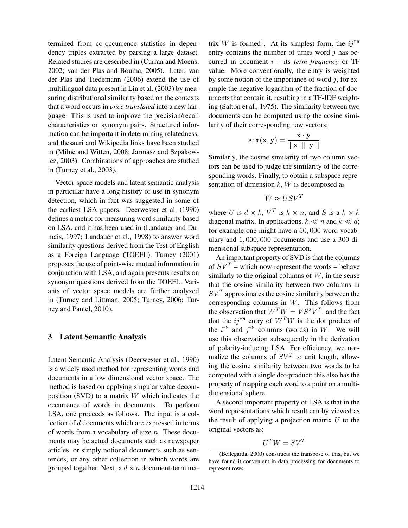termined from co-occurrence statistics in dependency triples extracted by parsing a large dataset. Related studies are described in (Curran and Moens, 2002; van der Plas and Bouma, 2005). Later, van der Plas and Tiedemann (2006) extend the use of multilingual data present in Lin et al. (2003) by measuring distributional similarity based on the contexts that a word occurs in *once translated* into a new language. This is used to improve the precision/recall characteristics on synonym pairs. Structured information can be important in determining relatedness, and thesauri and Wikipedia links have been studied in (Milne and Witten, 2008; Jarmasz and Szpakowicz, 2003). Combinations of approaches are studied in (Turney et al., 2003).

Vector-space models and latent semantic analysis in particular have a long history of use in synonym detection, which in fact was suggested in some of the earliest LSA papers. Deerwester et al. (1990) defines a metric for measuring word similarity based on LSA, and it has been used in (Landauer and Dumais, 1997; Landauer et al., 1998) to answer word similarity questions derived from the Test of English as a Foreign Language (TOEFL). Turney (2001) proposes the use of point-wise mutual information in conjunction with LSA, and again presents results on synonym questions derived from the TOEFL. Variants of vector space models are further analyzed in (Turney and Littman, 2005; Turney, 2006; Turney and Pantel, 2010).

# 3 Latent Semantic Analysis

Latent Semantic Analysis (Deerwester et al., 1990) is a widely used method for representing words and documents in a low dimensional vector space. The method is based on applying singular value decomposition (SVD) to a matrix  $W$  which indicates the occurrence of words in documents. To perform LSA, one proceeds as follows. The input is a collection of d documents which are expressed in terms of words from a vocabulary of size  $n$ . These documents may be actual documents such as newspaper articles, or simply notional documents such as sentences, or any other collection in which words are grouped together. Next, a  $d \times n$  document-term ma-

trix W is formed<sup>1</sup>. At its simplest form, the  $ij^{\text{th}}$ entry contains the number of times word  $i$  has occurred in document  $i$  – its *term frequency* or TF value. More conventionally, the entry is weighted by some notion of the importance of word  $j$ , for example the negative logarithm of the fraction of documents that contain it, resulting in a TF-IDF weighting (Salton et al., 1975). The similarity between two documents can be computed using the cosine similarity of their corresponding row vectors:

$$
\texttt{sim}(\mathbf{x}, \mathbf{y}) = \frac{\mathbf{x} \cdot \mathbf{y}}{\parallel \mathbf{x} \parallel \parallel \mathbf{y} \parallel}
$$

Similarly, the cosine similarity of two column vectors can be used to judge the similarity of the corresponding words. Finally, to obtain a subspace representation of dimension  $k$ ,  $W$  is decomposed as

$$
W \approx USV^T
$$

where U is  $d \times k$ ,  $V^T$  is  $k \times n$ , and S is a  $k \times k$ diagonal matrix. In applications,  $k \ll n$  and  $k \ll d$ ; for example one might have a 50, 000 word vocabulary and 1, 000, 000 documents and use a 300 dimensional subspace representation.

An important property of SVD is that the columns of  $SV^T$  – which now represent the words – behave similarly to the original columns of  $W$ , in the sense that the cosine similarity between two columns in  $SV<sup>T</sup>$  approximates the cosine similarity between the corresponding columns in W. This follows from the observation that  $W^T W = VS^2 V^T$ , and the fact that the  $ij^{\text{th}}$  entry of  $W^TW$  is the dot product of the  $i^{\text{th}}$  and  $j^{\text{th}}$  columns (words) in W. We will use this observation subsequently in the derivation of polarity-inducing LSA. For efficiency, we normalize the columns of  $SV^T$  to unit length, allowing the cosine similarity between two words to be computed with a single dot-product; this also has the property of mapping each word to a point on a multidimensional sphere.

A second important property of LSA is that in the word representations which result can by viewed as the result of applying a projection matrix  $U$  to the original vectors as:

 $U^T W = SV^T$ 

 $1$ <sup>1</sup>(Bellegarda, 2000) constructs the transpose of this, but we have found it convenient in data processing for documents to represent rows.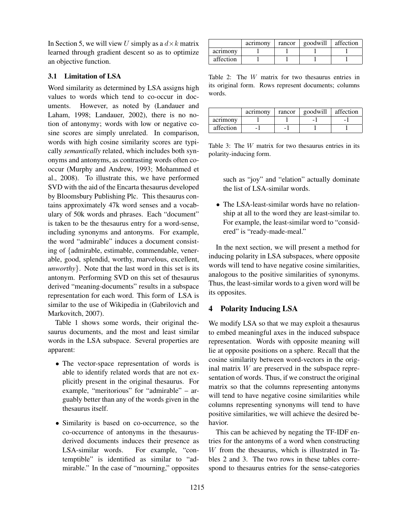In Section 5, we will view U simply as a  $d \times k$  matrix learned through gradient descent so as to optimize an objective function.

### 3.1 Limitation of LSA

Word similarity as determined by LSA assigns high values to words which tend to co-occur in documents. However, as noted by (Landauer and Laham, 1998; Landauer, 2002), there is no notion of antonymy; words with low or negative cosine scores are simply unrelated. In comparison, words with high cosine similarity scores are typically *semantically* related, which includes both synonyms and antonyms, as contrasting words often cooccur (Murphy and Andrew, 1993; Mohammed et al., 2008). To illustrate this, we have performed SVD with the aid of the Encarta thesaurus developed by Bloomsbury Publishing Plc. This thesaurus contains approximately 47k word senses and a vocabulary of 50k words and phrases. Each "document" is taken to be the thesaurus entry for a word-sense, including synonyms and antonyms. For example, the word "admirable" induces a document consisting of {admirable, estimable, commendable, venerable, good, splendid, worthy, marvelous, excellent, *unworthy*}. Note that the last word in this set is its antonym. Performing SVD on this set of thesaurus derived "meaning-documents" results in a subspace representation for each word. This form of LSA is similar to the use of Wikipedia in (Gabrilovich and Markovitch, 2007).

Table 1 shows some words, their original thesaurus documents, and the most and least similar words in the LSA subspace. Several properties are apparent:

- The vector-space representation of words is able to identify related words that are not explicitly present in the original thesaurus. For example, "meritorious" for "admirable" – arguably better than any of the words given in the thesaurus itself.
- Similarity is based on co-occurrence, so the co-occurrence of antonyms in the thesaurusderived documents induces their presence as LSA-similar words. For example, "contemptible" is identified as similar to "admirable." In the case of "mourning," opposites

|           | acrimony | rancor | goodwill | affection |
|-----------|----------|--------|----------|-----------|
| acrimony  |          |        |          |           |
| affection |          |        |          |           |

Table 2: The W matrix for two thesaurus entries in its original form. Rows represent documents; columns words.

|           | acrimony | rancor | goodwill | affection |
|-----------|----------|--------|----------|-----------|
| acrimony  |          |        | -        |           |
| affection |          | -      |          |           |

Table 3: The W matrix for two thesaurus entries in its polarity-inducing form.

such as "joy" and "elation" actually dominate the list of LSA-similar words.

• The LSA-least-similar words have no relationship at all to the word they are least-similar to. For example, the least-similar word to "considered" is "ready-made-meal."

In the next section, we will present a method for inducing polarity in LSA subspaces, where opposite words will tend to have negative cosine similarities, analogous to the positive similarities of synonyms. Thus, the least-similar words to a given word will be its opposites.

## 4 Polarity Inducing LSA

We modify LSA so that we may exploit a thesaurus to embed meaningful axes in the induced subspace representation. Words with opposite meaning will lie at opposite positions on a sphere. Recall that the cosine similarity between word-vectors in the original matrix  $W$  are preserved in the subspace representation of words. Thus, if we construct the original matrix so that the columns representing antonyms will tend to have negative cosine similarities while columns representing synonyms will tend to have positive similarities, we will achieve the desired behavior.

This can be achieved by negating the TF-IDF entries for the antonyms of a word when constructing W from the thesaurus, which is illustrated in Tables 2 and 3. The two rows in these tables correspond to thesaurus entries for the sense-categories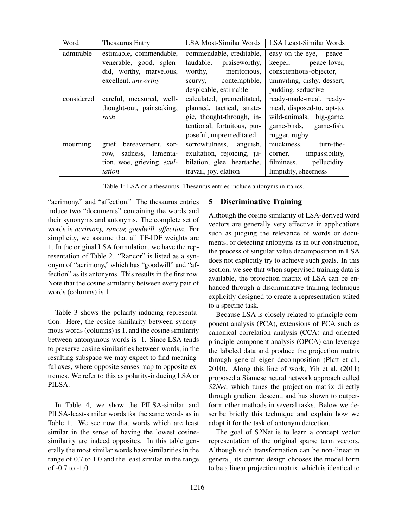| Word       | Thesaurus Entry            | <b>LSA Most-Similar Words</b> | <b>LSA Least-Similar Words</b> |  |  |
|------------|----------------------------|-------------------------------|--------------------------------|--|--|
| admirable  | estimable, commendable,    | commendable, creditable,      | easy-on-the-eye, peace-        |  |  |
|            | venerable, good, splen-    | laudable,<br>praiseworthy,    | keeper, peace-lover,           |  |  |
|            | did, worthy, marvelous,    | meritorious,<br>worthy,       | conscientious-objector,        |  |  |
|            | excellent, <i>unworthy</i> | scurvy, contemptible,         | uninviting, dishy, dessert,    |  |  |
|            |                            | despicable, estimable         | pudding, seductive             |  |  |
| considered | careful, measured, well-   | calculated, premeditated,     | ready-made-meal, ready-        |  |  |
|            | thought-out, painstaking,  | planned, tactical, strate-    | meal, disposed-to, apt-to,     |  |  |
|            | rash                       | gic, thought-through, in-     | wild-animals, big-game,        |  |  |
|            |                            | tentional, fortuitous, pur-   | game-birds, game-fish,         |  |  |
|            |                            | poseful, unpremeditated       | rugger, rugby                  |  |  |
| mourning   | grief, bereavement, sor-   | sorrowfulness, anguish,       | muckiness,<br>turn-the-        |  |  |
|            | sadness, lamenta-<br>row,  | exultation, rejoicing, ju-    | impassibility,<br>corner,      |  |  |
|            | tion, woe, grieving, exul- | bilation, glee, heartache,    | pellucidity,<br>filminess,     |  |  |
|            | tation                     | travail, joy, elation         | limpidity, sheerness           |  |  |

Table 1: LSA on a thesaurus. Thesaurus entries include antonyms in italics.

"acrimony," and "affection." The thesaurus entries induce two "documents" containing the words and their synonyms and antonyms. The complete set of words is *acrimony, rancor, goodwill, affection*. For simplicity, we assume that all TF-IDF weights are 1. In the original LSA formulation, we have the representation of Table 2. "Rancor" is listed as a synonym of "acrimony," which has "goodwill" and "affection" as its antonyms. This results in the first row. Note that the cosine similarity between every pair of words (columns) is 1.

Table 3 shows the polarity-inducing representation. Here, the cosine similarity between synonymous words (columns) is 1, and the cosine similarity between antonymous words is -1. Since LSA tends to preserve cosine similarities between words, in the resulting subspace we may expect to find meaningful axes, where opposite senses map to opposite extremes. We refer to this as polarity-inducing LSA or PILSA.

In Table 4, we show the PILSA-similar and PILSA-least-similar words for the same words as in Table 1. We see now that words which are least similar in the sense of having the lowest cosinesimilarity are indeed opposites. In this table generally the most similar words have similarities in the range of 0.7 to 1.0 and the least similar in the range of -0.7 to -1.0.

## 5 Discriminative Training

Although the cosine similarity of LSA-derived word vectors are generally very effective in applications such as judging the relevance of words or documents, or detecting antonyms as in our construction, the process of singular value decomposition in LSA does not explicitly try to achieve such goals. In this section, we see that when supervised training data is available, the projection matrix of LSA can be enhanced through a discriminative training technique explicitly designed to create a representation suited to a specific task.

Because LSA is closely related to principle component analysis (PCA), extensions of PCA such as canonical correlation analysis (CCA) and oriented principle component analysis (OPCA) can leverage the labeled data and produce the projection matrix through general eigen-decomposition (Platt et al., 2010). Along this line of work, Yih et al. (2011) proposed a Siamese neural network approach called *S2Net*, which tunes the projection matrix directly through gradient descent, and has shown to outperform other methods in several tasks. Below we describe briefly this technique and explain how we adopt it for the task of antonym detection.

The goal of S2Net is to learn a concept vector representation of the original sparse term vectors. Although such transformation can be non-linear in general, its current design chooses the model form to be a linear projection matrix, which is identical to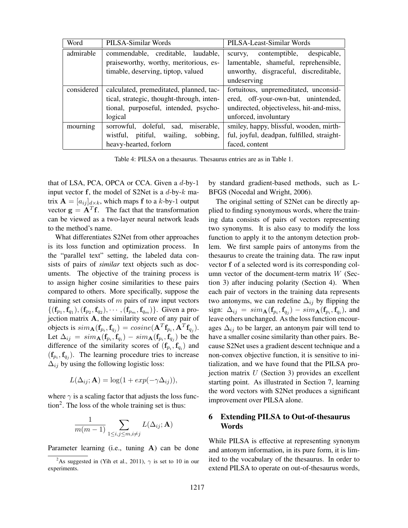| Word       | PILSA-Similar Words                       | PILSA-Least-Similar Words                  |  |  |
|------------|-------------------------------------------|--------------------------------------------|--|--|
| admirable  | commendable, creditable, laudable,        | despicable,<br>contemptible,<br>scurvy,    |  |  |
|            | praiseworthy, worthy, meritorious, es-    | lamentable, shameful, reprehensible,       |  |  |
|            | timable, deserving, tiptop, valued        | unworthy, disgraceful, discreditable,      |  |  |
|            |                                           | undeserving                                |  |  |
| considered | calculated, premeditated, planned, tac-   | fortuitous, unpremeditated, unconsid-      |  |  |
|            | tical, strategic, thought-through, inten- | ered, off-your-own-bat, unintended,        |  |  |
|            | tional, purposeful, intended, psycho-     | undirected, objectiveless, hit-and-miss,   |  |  |
|            | logical                                   | unforced, involuntary                      |  |  |
| mourning   | miserable,<br>sorrowful, doleful, sad,    | smiley, happy, blissful, wooden, mirth-    |  |  |
|            | pitiful, wailing,<br>sobbing,<br>wistful, | ful, joyful, deadpan, fulfilled, straight- |  |  |
|            | heavy-hearted, forlorn                    | faced, content                             |  |  |

Table 4: PILSA on a thesaurus. Thesaurus entries are as in Table 1.

that of LSA, PCA, OPCA or CCA. Given a d-by-1 input vector  $f$ , the model of S2Net is a d-by- $k$  matrix  $\mathbf{A} = [a_{ij}]_{d \times k}$ , which maps f to a k-by-1 output vector  $\mathbf{g} = \mathbf{A}^T \mathbf{f}$ . The fact that the transformation can be viewed as a two-layer neural network leads to the method's name.

What differentiates S2Net from other approaches is its loss function and optimization process. In the "parallel text" setting, the labeled data consists of pairs of *similar* text objects such as documents. The objective of the training process is to assign higher cosine similarities to these pairs compared to others. More specifically, suppose the training set consists of  $m$  pairs of raw input vectors  $\{(\mathbf{f}_{p_1}, \mathbf{f}_{q_1}), (\mathbf{f}_{p_2}, \mathbf{f}_{q_2}), \cdots, (\mathbf{f}_{p_m}, \mathbf{f}_{q_m})\}.$  Given a projection matrix A, the similarity score of any pair of objects is  $sim_{\mathbf{A}}(\mathbf{f}_{p_i}, \mathbf{f}_{q_j}) = cosine(\mathbf{A}^T \mathbf{f}_{p_i}, \mathbf{A}^T \mathbf{f}_{q_j}).$ Let  $\Delta_{ij} = sim_{\mathbf{A}}(\mathbf{f}_{p_i}, \mathbf{f}_{q_i}) - sim_{\mathbf{A}}(\mathbf{f}_{p_i}, \mathbf{f}_{q_j})$  be the difference of the similarity scores of  $(f_{p_i}, f_{q_i})$  and  $(f_{p_i}, f_{q_j})$ . The learning procedure tries to increase  $\Delta_{ij}$  by using the following logistic loss:

$$
L(\Delta_{ij}; \mathbf{A}) = \log(1 + exp(-\gamma \Delta_{ij})),
$$

where  $\gamma$  is a scaling factor that adjusts the loss func- $\text{tion}^2$ . The loss of the whole training set is thus:

$$
\frac{1}{m(m-1)}\sum_{1\leq i,j\leq m,i\neq j}L(\Delta_{ij};\mathbf{A})
$$

Parameter learning (i.e., tuning A) can be done

by standard gradient-based methods, such as L-BFGS (Nocedal and Wright, 2006).

The original setting of S2Net can be directly applied to finding synonymous words, where the training data consists of pairs of vectors representing two synonyms. It is also easy to modify the loss function to apply it to the antonym detection problem. We first sample pairs of antonyms from the thesaurus to create the training data. The raw input vector f of a selected word is its corresponding column vector of the document-term matrix  $W$  (Section 3) after inducing polarity (Section 4). When each pair of vectors in the training data represents two antonyms, we can redefine  $\Delta_{ij}$  by flipping the sign:  $\Delta_{ij} = sim_{\mathbf{A}}(\mathbf{f}_{p_i}, \mathbf{f}_{q_j}) - sim_{\mathbf{A}}(\mathbf{f}_{p_i}, \mathbf{f}_{q_i})$ , and leave others unchanged. As the loss function encourages  $\Delta_{ij}$  to be larger, an antonym pair will tend to have a smaller cosine similarity than other pairs. Because S2Net uses a gradient descent technique and a non-convex objective function, it is sensitive to initialization, and we have found that the PILSA projection matrix  $U$  (Section 3) provides an excellent starting point. As illustrated in Section 7, learning the word vectors with S2Net produces a significant improvement over PILSA alone.

# 6 Extending PILSA to Out-of-thesaurus **Words**

While PILSA is effective at representing synonym and antonym information, in its pure form, it is limited to the vocabulary of the thesaurus. In order to extend PILSA to operate on out-of-thesaurus words,

<sup>&</sup>lt;sup>2</sup>As suggested in (Yih et al., 2011),  $\gamma$  is set to 10 in our experiments.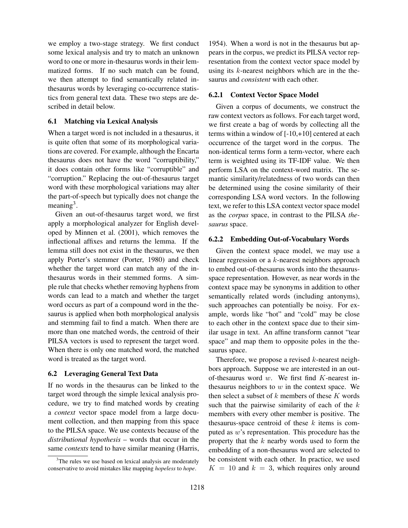we employ a two-stage strategy. We first conduct some lexical analysis and try to match an unknown word to one or more in-thesaurus words in their lemmatized forms. If no such match can be found, we then attempt to find semantically related inthesaurus words by leveraging co-occurrence statistics from general text data. These two steps are described in detail below.

# 6.1 Matching via Lexical Analysis

When a target word is not included in a thesaurus, it is quite often that some of its morphological variations are covered. For example, although the Encarta thesaurus does not have the word "corruptibility," it does contain other forms like "corruptible" and "corruption." Replacing the out-of-thesaurus target word with these morphological variations may alter the part-of-speech but typically does not change the meaning<sup>3</sup>.

Given an out-of-thesaurus target word, we first apply a morphological analyzer for English developed by Minnen et al. (2001), which removes the inflectional affixes and returns the lemma. If the lemma still does not exist in the thesaurus, we then apply Porter's stemmer (Porter, 1980) and check whether the target word can match any of the inthesaurus words in their stemmed forms. A simple rule that checks whether removing hyphens from words can lead to a match and whether the target word occurs as part of a compound word in the thesaurus is applied when both morphological analysis and stemming fail to find a match. When there are more than one matched words, the centroid of their PILSA vectors is used to represent the target word. When there is only one matched word, the matched word is treated as the target word.

# 6.2 Leveraging General Text Data

If no words in the thesaurus can be linked to the target word through the simple lexical analysis procedure, we try to find matched words by creating a *context* vector space model from a large document collection, and then mapping from this space to the PILSA space. We use contexts because of the *distributional hypothesis* – words that occur in the same *contexts* tend to have similar meaning (Harris,

1954). When a word is not in the thesaurus but appears in the corpus, we predict its PILSA vector representation from the context vector space model by using its  $k$ -nearest neighbors which are in the thesaurus and *consistent* with each other.

## 6.2.1 Context Vector Space Model

Given a corpus of documents, we construct the raw context vectors as follows. For each target word, we first create a bag of words by collecting all the terms within a window of [-10,+10] centered at each occurrence of the target word in the corpus. The non-identical terms form a term-vector, where each term is weighted using its TF-IDF value. We then perform LSA on the context-word matrix. The semantic similarity/relatedness of two words can then be determined using the cosine similarity of their corresponding LSA word vectors. In the following text, we refer to this LSA context vector space model as the *corpus* space, in contrast to the PILSA *thesaurus* space.

## 6.2.2 Embedding Out-of-Vocabulary Words

Given the context space model, we may use a linear regression or a k-nearest neighbors approach to embed out-of-thesaurus words into the thesaurusspace representation. However, as near words in the context space may be synonyms in addition to other semantically related words (including antonyms), such approaches can potentially be noisy. For example, words like "hot" and "cold" may be close to each other in the context space due to their similar usage in text. An affine transform cannot "tear space" and map them to opposite poles in the thesaurus space.

Therefore, we propose a revised  $k$ -nearest neighbors approach. Suppose we are interested in an outof-thesaurus word  $w$ . We first find  $K$ -nearest inthesaurus neighbors to  $w$  in the context space. We then select a subset of  $k$  members of these  $K$  words such that the pairwise similarity of each of the  $k$ members with every other member is positive. The thesaurus-space centroid of these  $k$  items is computed as w's representation. This procedure has the property that the  $k$  nearby words used to form the embedding of a non-thesaurus word are selected to be consistent with each other. In practice, we used  $K = 10$  and  $k = 3$ , which requires only around

<sup>&</sup>lt;sup>3</sup>The rules we use based on lexical analysis are moderately conservative to avoid mistakes like mapping *hopeless* to *hope*.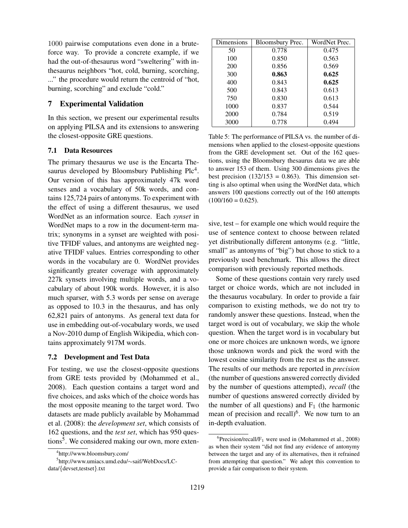1000 pairwise computations even done in a bruteforce way. To provide a concrete example, if we had the out-of-thesaurus word "sweltering" with inthesaurus neighbors "hot, cold, burning, scorching, ..." the procedure would return the centroid of "hot, burning, scorching" and exclude "cold."

## 7 Experimental Validation

In this section, we present our experimental results on applying PILSA and its extensions to answering the closest-opposite GRE questions.

### 7.1 Data Resources

The primary thesaurus we use is the Encarta Thesaurus developed by Bloomsbury Publishing  $Plc<sup>4</sup>$ . Our version of this has approximately 47k word senses and a vocabulary of 50k words, and contains 125,724 pairs of antonyms. To experiment with the effect of using a different thesaurus, we used WordNet as an information source. Each *synset* in WordNet maps to a row in the document-term matrix; synonyms in a synset are weighted with positive TFIDF values, and antonyms are weighted negative TFIDF values. Entries corresponding to other words in the vocabulary are 0. WordNet provides significantly greater coverage with approximately 227k synsets involving multiple words, and a vocabulary of about 190k words. However, it is also much sparser, with 5.3 words per sense on average as opposed to 10.3 in the thesaurus, and has only 62,821 pairs of antonyms. As general text data for use in embedding out-of-vocabulary words, we used a Nov-2010 dump of English Wikipedia, which contains approximately 917M words.

#### 7.2 Development and Test Data

For testing, we use the closest-opposite questions from GRE tests provided by (Mohammed et al., 2008). Each question contains a target word and five choices, and asks which of the choice words has the most opposite meaning to the target word. Two datasets are made publicly available by Mohammad et al. (2008): the *development set*, which consists of 162 questions, and the *test set*, which has 950 questions<sup>5</sup>. We considered making our own, more exten-

| Dimensions | Bloomsbury Prec. | WordNet Prec. |
|------------|------------------|---------------|
| 50         | 0.778            | 0.475         |
| 100        | 0.850            | 0.563         |
| 200        | 0.856            | 0.569         |
| 300        | 0.863            | 0.625         |
| 400        | 0.843            | 0.625         |
| 500        | 0.843            | 0.613         |
| 750        | 0.830            | 0.613         |
| 1000       | 0.837            | 0.544         |
| 2000       | 0.784            | 0.519         |
| 3000       | 0.778            | 0.494         |

Table 5: The performance of PILSA vs. the number of dimensions when applied to the closest-opposite questions from the GRE development set. Out of the 162 questions, using the Bloomsbury thesaurus data we are able to answer 153 of them. Using 300 dimensions gives the best precision  $(132/153 = 0.863)$ . This dimension setting is also optimal when using the WordNet data, which answers 100 questions correctly out of the 160 attempts  $(100/160 = 0.625)$ .

sive, test – for example one which would require the use of sentence context to choose between related yet distributionally different antonyms (e.g. "little, small" as antonyms of "big") but chose to stick to a previously used benchmark. This allows the direct comparison with previously reported methods.

Some of these questions contain very rarely used target or choice words, which are not included in the thesaurus vocabulary. In order to provide a fair comparison to existing methods, we do not try to randomly answer these questions. Instead, when the target word is out of vocabulary, we skip the whole question. When the target word is in vocabulary but one or more choices are unknown words, we ignore those unknown words and pick the word with the lowest cosine similarity from the rest as the answer. The results of our methods are reported in *precision* (the number of questions answered correctly divided by the number of questions attempted), *recall* (the number of questions answered correctly divided by the number of all questions) and  $F_1$  (the harmonic mean of precision and recall) $<sup>6</sup>$ . We now turn to an</sup> in-depth evaluation.

<sup>4</sup> http://www.bloomsbury.com/

<sup>5</sup> http://www.umiacs.umd.edu/∼saif/WebDocs/LCdata/{devset,testset}.txt

 ${}^{6}$ Precision/recall/F<sub>1</sub> were used in (Mohammed et al., 2008) as when their system "did not find any evidence of antonymy between the target and any of its alternatives, then it refrained from attempting that question." We adopt this convention to provide a fair comparison to their system.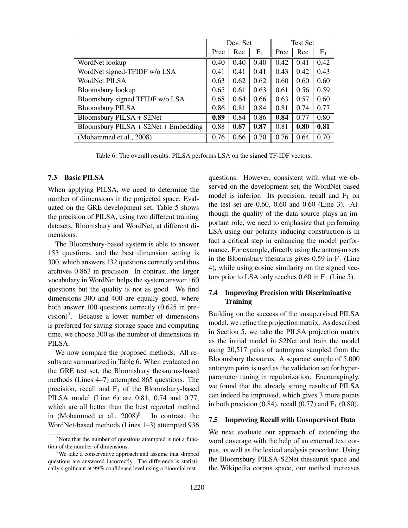|                                        | Dev. Set |      | <b>Test Set</b> |      |      |       |
|----------------------------------------|----------|------|-----------------|------|------|-------|
|                                        | Prec     | Rec  | F <sub>1</sub>  | Prec | Rec  | $F_1$ |
| WordNet lookup                         | 0.40     | 0.40 | 0.40            | 0.42 | 0.41 | 0.42  |
| WordNet signed-TFIDF w/o LSA           | 0.41     | 0.41 | 0.41            | 0.43 | 0.42 | 0.43  |
| WordNet PILSA                          | 0.63     | 0.62 | 0.62            | 0.60 | 0.60 | 0.60  |
| Bloomsbury lookup                      | 0.65     | 0.61 | 0.63            | 0.61 | 0.56 | 0.59  |
| Bloomsbury signed TFIDF w/o LSA        | 0.68     | 0.64 | 0.66            | 0.63 | 0.57 | 0.60  |
| <b>Bloomsbury PILSA</b>                | 0.86     | 0.81 | 0.84            | 0.81 | 0.74 | 0.77  |
| Bloomsbury PILSA + S2Net               | 0.89     | 0.84 | 0.86            | 0.84 | 0.77 | 0.80  |
| Bloomsbury PILSA + $S2Net$ + Embedding | 0.88     | 0.87 | 0.87            | 0.81 | 0.80 | 0.81  |
| (Mohammed et al., 2008)                | 0.76     | 0.66 | 0.70            | 0.76 | 0.64 | 0.70  |

Table 6: The overall results. PILSA performs LSA on the signed TF-IDF vectors.

#### 7.3 Basic PILSA

When applying PILSA, we need to determine the number of dimensions in the projected space. Evaluated on the GRE development set, Table 5 shows the precision of PILSA, using two different training datasets, Bloomsbury and WordNet, at different dimensions.

The Bloomsbury-based system is able to answer 153 questions, and the best dimension setting is 300, which answers 132 questions correctly and thus archives 0.863 in precision. In contrast, the larger vocabulary in WordNet helps the system answer 160 questions but the quality is not as good. We find dimensions 300 and 400 are equally good, where both answer 100 questions correctly (0.625 in pre- $\text{cision}$ <sup>7</sup>. Because a lower number of dimensions is preferred for saving storage space and computing time, we choose 300 as the number of dimensions in PILSA.

We now compare the proposed methods. All results are summarized in Table 6. When evaluated on the GRE test set, the Bloomsbury thesaurus-based methods (Lines 4–7) attempted 865 questions. The precision, recall and  $F_1$  of the Bloomsbury-based PILSA model (Line 6) are 0.81, 0.74 and 0.77, which are all better than the best reported method in (Mohammed et al.,  $2008)^8$ . In contrast, the WordNet-based methods (Lines 1–3) attempted 936 questions. However, consistent with what we observed on the development set, the WordNet-based model is inferior. Its precision, recall and  $F_1$  on the test set are 0.60, 0.60 and 0.60 (Line 3). Although the quality of the data source plays an important role, we need to emphasize that performing LSA using our polarity inducing construction is in fact a critical step in enhancing the model performance. For example, directly using the antonym sets in the Bloomsbury thesaurus gives  $0.59$  in  $F_1$  (Line 4), while using cosine similarity on the signed vectors prior to LSA only reaches  $0.60$  in  $F_1$  (Line 5).

# 7.4 Improving Precision with Discriminative **Training**

Building on the success of the unsupervised PILSA model, we refine the projection matrix. As described in Section 5, we take the PILSA projection matrix as the initial model in S2Net and train the model using 20,517 pairs of antonyms sampled from the Bloomsbury thesaurus. A separate sample of 5,000 antonym pairs is used as the validation set for hyperparameter tuning in regularization. Encouragingly, we found that the already strong results of PILSA can indeed be improved, which gives 3 more points in both precision  $(0.84)$ , recall  $(0.77)$  and  $F_1 (0.80)$ .

#### 7.5 Improving Recall with Unsupervised Data

We next evaluate our approach of extending the word coverage with the help of an external text corpus, as well as the lexical analysis procedure. Using the Bloomsbury PILSA-S2Net thesaurus space and the Wikipedia corpus space, our method increases

 $\alpha$ <sup>7</sup>Note that the number of questions attempted is not a function of the number of dimensions.

<sup>&</sup>lt;sup>8</sup>We take a conservative approach and assume that skipped questions are answered incorrectly. The difference is statistically significant at 99% confidence level using a binomial test.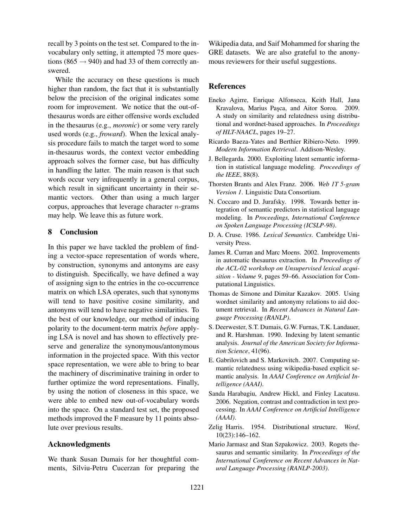recall by 3 points on the test set. Compared to the invocabulary only setting, it attempted 75 more questions (865  $\rightarrow$  940) and had 33 of them correctly answered.

While the accuracy on these questions is much higher than random, the fact that it is substantially below the precision of the original indicates some room for improvement. We notice that the out-ofthesaurus words are either offensive words excluded in the thesaurus (e.g., *moronic*) or some very rarely used words (e.g., *froward*). When the lexical analysis procedure fails to match the target word to some in-thesaurus words, the context vector embedding approach solves the former case, but has difficulty in handling the latter. The main reason is that such words occur very infrequently in a general corpus, which result in significant uncertainty in their semantic vectors. Other than using a much larger corpus, approaches that leverage character  $n$ -grams may help. We leave this as future work.

## 8 Conclusion

In this paper we have tackled the problem of finding a vector-space representation of words where, by construction, synonyms and antonyms are easy to distinguish. Specifically, we have defined a way of assigning sign to the entries in the co-occurrence matrix on which LSA operates, such that synonyms will tend to have positive cosine similarity, and antonyms will tend to have negative similarities. To the best of our knowledge, our method of inducing polarity to the document-term matrix *before* applying LSA is novel and has shown to effectively preserve and generalize the synonymous/antonymous information in the projected space. With this vector space representation, we were able to bring to bear the machinery of discriminative training in order to further optimize the word representations. Finally, by using the notion of closeness in this space, we were able to embed new out-of-vocabulary words into the space. On a standard test set, the proposed methods improved the F measure by 11 points absolute over previous results.

#### Acknowledgments

We thank Susan Dumais for her thoughtful comments, Silviu-Petru Cucerzan for preparing the Wikipedia data, and Saif Mohammed for sharing the GRE datasets. We are also grateful to the anonymous reviewers for their useful suggestions.

## **References**

- Eneko Agirre, Enrique Alfonseca, Keith Hall, Jana Kravalova, Marius Pasca, and Aitor Soroa. 2009. A study on similarity and relatedness using distributional and wordnet-based approaches. In *Proceedings of HLT-NAACL*, pages 19–27.
- Ricardo Baeza-Yates and Berthier Ribiero-Neto. 1999. *Modern Information Retrieval*. Addison-Wesley.
- J. Bellegarda. 2000. Exploiting latent semantic information in statistical language modeling. *Proceedings of the IEEE*, 88(8).
- Thorsten Brants and Alex Franz. 2006. *Web 1T 5-gram Version 1*. Linguistic Data Consortium.
- N. Coccaro and D. Jurafsky. 1998. Towards better integration of semantic predictors in statistical language modeling. In *Proceedings, International Conference on Spoken Language Processing (ICSLP-98)*.
- D. A. Cruse. 1986. *Lexical Semantics*. Cambridge University Press.
- James R. Curran and Marc Moens. 2002. Improvements in automatic thesaurus extraction. In *Proceedings of the ACL-02 workshop on Unsupervised lexical acquisition - Volume 9*, pages 59–66. Association for Computational Linguistics.
- Thomas de Simone and Dimitar Kazakov. 2005. Using wordnet similarity and antonymy relations to aid document retrieval. In *Recent Advances in Natural Language Processing (RANLP)*.
- S. Deerwester, S.T. Dumais, G.W. Furnas, T.K. Landauer, and R. Harshman. 1990. Indexing by latent semantic analysis. *Journal of the American Society for Information Science*, 41(96).
- E. Gabrilovich and S. Markovitch. 2007. Computing semantic relatedness using wikipedia-based explicit semantic analysis. In *AAAI Conference on Artificial Intelligence (AAAI)*.
- Sanda Harabagiu, Andrew Hickl, and Finley Lacatusu. 2006. Negation, contrast and contradiction in text processing. In *AAAI Conference on Artificial Intelligence (AAAI)*.
- Zelig Harris. 1954. Distributional structure. *Word*, 10(23):146–162.
- Mario Jarmasz and Stan Szpakowicz. 2003. Rogets thesaurus and semantic similarity. In *Proceedings of the International Conference on Recent Advances in Natural Language Processing (RANLP-2003)*.